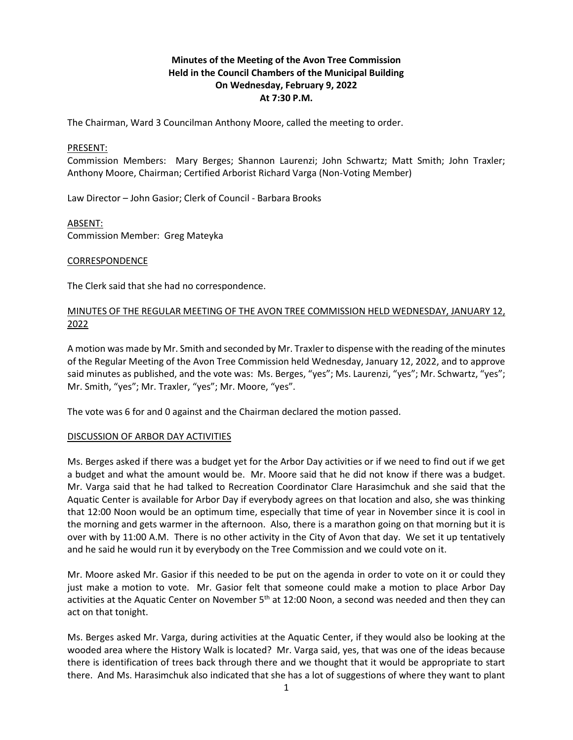# **Minutes of the Meeting of the Avon Tree Commission Held in the Council Chambers of the Municipal Building On Wednesday, February 9, 2022 At 7:30 P.M.**

The Chairman, Ward 3 Councilman Anthony Moore, called the meeting to order.

#### PRESENT:

Commission Members: Mary Berges; Shannon Laurenzi; John Schwartz; Matt Smith; John Traxler; Anthony Moore, Chairman; Certified Arborist Richard Varga (Non-Voting Member)

Law Director – John Gasior; Clerk of Council - Barbara Brooks

#### ABSENT:

Commission Member: Greg Mateyka

#### CORRESPONDENCE

The Clerk said that she had no correspondence.

## MINUTES OF THE REGULAR MEETING OF THE AVON TREE COMMISSION HELD WEDNESDAY, JANUARY 12, 2022

A motion was made by Mr. Smith and seconded by Mr. Traxler to dispense with the reading of the minutes of the Regular Meeting of the Avon Tree Commission held Wednesday, January 12, 2022, and to approve said minutes as published, and the vote was: Ms. Berges, "yes"; Ms. Laurenzi, "yes"; Mr. Schwartz, "yes"; Mr. Smith, "yes"; Mr. Traxler, "yes"; Mr. Moore, "yes".

The vote was 6 for and 0 against and the Chairman declared the motion passed.

## DISCUSSION OF ARBOR DAY ACTIVITIES

Ms. Berges asked if there was a budget yet for the Arbor Day activities or if we need to find out if we get a budget and what the amount would be. Mr. Moore said that he did not know if there was a budget. Mr. Varga said that he had talked to Recreation Coordinator Clare Harasimchuk and she said that the Aquatic Center is available for Arbor Day if everybody agrees on that location and also, she was thinking that 12:00 Noon would be an optimum time, especially that time of year in November since it is cool in the morning and gets warmer in the afternoon. Also, there is a marathon going on that morning but it is over with by 11:00 A.M. There is no other activity in the City of Avon that day. We set it up tentatively and he said he would run it by everybody on the Tree Commission and we could vote on it.

Mr. Moore asked Mr. Gasior if this needed to be put on the agenda in order to vote on it or could they just make a motion to vote. Mr. Gasior felt that someone could make a motion to place Arbor Day activities at the Aquatic Center on November  $5<sup>th</sup>$  at 12:00 Noon, a second was needed and then they can act on that tonight.

Ms. Berges asked Mr. Varga, during activities at the Aquatic Center, if they would also be looking at the wooded area where the History Walk is located? Mr. Varga said, yes, that was one of the ideas because there is identification of trees back through there and we thought that it would be appropriate to start there. And Ms. Harasimchuk also indicated that she has a lot of suggestions of where they want to plant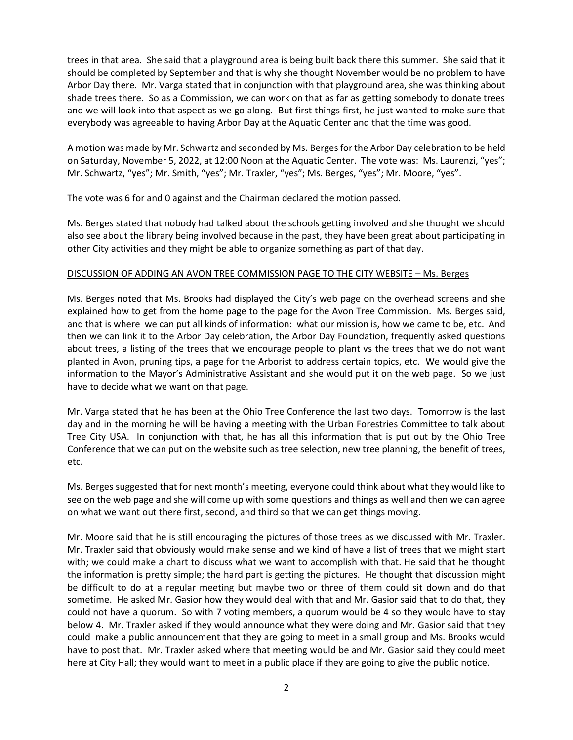trees in that area. She said that a playground area is being built back there this summer. She said that it should be completed by September and that is why she thought November would be no problem to have Arbor Day there. Mr. Varga stated that in conjunction with that playground area, she was thinking about shade trees there. So as a Commission, we can work on that as far as getting somebody to donate trees and we will look into that aspect as we go along. But first things first, he just wanted to make sure that everybody was agreeable to having Arbor Day at the Aquatic Center and that the time was good.

A motion was made by Mr. Schwartz and seconded by Ms. Berges for the Arbor Day celebration to be held on Saturday, November 5, 2022, at 12:00 Noon at the Aquatic Center. The vote was: Ms. Laurenzi, "yes"; Mr. Schwartz, "yes"; Mr. Smith, "yes"; Mr. Traxler, "yes"; Ms. Berges, "yes"; Mr. Moore, "yes".

The vote was 6 for and 0 against and the Chairman declared the motion passed.

Ms. Berges stated that nobody had talked about the schools getting involved and she thought we should also see about the library being involved because in the past, they have been great about participating in other City activities and they might be able to organize something as part of that day.

## DISCUSSION OF ADDING AN AVON TREE COMMISSION PAGE TO THE CITY WEBSITE – Ms. Berges

Ms. Berges noted that Ms. Brooks had displayed the City's web page on the overhead screens and she explained how to get from the home page to the page for the Avon Tree Commission. Ms. Berges said, and that is where we can put all kinds of information: what our mission is, how we came to be, etc. And then we can link it to the Arbor Day celebration, the Arbor Day Foundation, frequently asked questions about trees, a listing of the trees that we encourage people to plant vs the trees that we do not want planted in Avon, pruning tips, a page for the Arborist to address certain topics, etc. We would give the information to the Mayor's Administrative Assistant and she would put it on the web page. So we just have to decide what we want on that page.

Mr. Varga stated that he has been at the Ohio Tree Conference the last two days. Tomorrow is the last day and in the morning he will be having a meeting with the Urban Forestries Committee to talk about Tree City USA. In conjunction with that, he has all this information that is put out by the Ohio Tree Conference that we can put on the website such as tree selection, new tree planning, the benefit of trees, etc.

Ms. Berges suggested that for next month's meeting, everyone could think about what they would like to see on the web page and she will come up with some questions and things as well and then we can agree on what we want out there first, second, and third so that we can get things moving.

Mr. Moore said that he is still encouraging the pictures of those trees as we discussed with Mr. Traxler. Mr. Traxler said that obviously would make sense and we kind of have a list of trees that we might start with; we could make a chart to discuss what we want to accomplish with that. He said that he thought the information is pretty simple; the hard part is getting the pictures. He thought that discussion might be difficult to do at a regular meeting but maybe two or three of them could sit down and do that sometime. He asked Mr. Gasior how they would deal with that and Mr. Gasior said that to do that, they could not have a quorum. So with 7 voting members, a quorum would be 4 so they would have to stay below 4. Mr. Traxler asked if they would announce what they were doing and Mr. Gasior said that they could make a public announcement that they are going to meet in a small group and Ms. Brooks would have to post that. Mr. Traxler asked where that meeting would be and Mr. Gasior said they could meet here at City Hall; they would want to meet in a public place if they are going to give the public notice.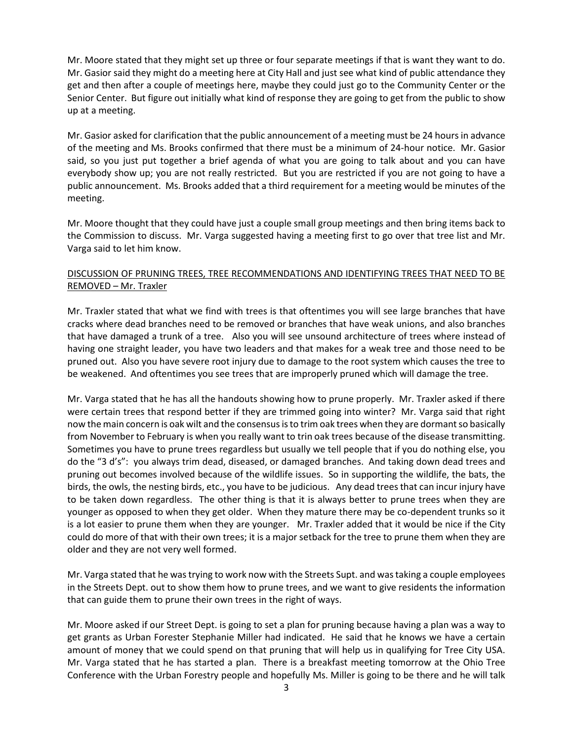Mr. Moore stated that they might set up three or four separate meetings if that is want they want to do. Mr. Gasior said they might do a meeting here at City Hall and just see what kind of public attendance they get and then after a couple of meetings here, maybe they could just go to the Community Center or the Senior Center. But figure out initially what kind of response they are going to get from the public to show up at a meeting.

Mr. Gasior asked for clarification that the public announcement of a meeting must be 24 hours in advance of the meeting and Ms. Brooks confirmed that there must be a minimum of 24-hour notice. Mr. Gasior said, so you just put together a brief agenda of what you are going to talk about and you can have everybody show up; you are not really restricted. But you are restricted if you are not going to have a public announcement. Ms. Brooks added that a third requirement for a meeting would be minutes of the meeting.

Mr. Moore thought that they could have just a couple small group meetings and then bring items back to the Commission to discuss. Mr. Varga suggested having a meeting first to go over that tree list and Mr. Varga said to let him know.

# DISCUSSION OF PRUNING TREES, TREE RECOMMENDATIONS AND IDENTIFYING TREES THAT NEED TO BE REMOVED – Mr. Traxler

Mr. Traxler stated that what we find with trees is that oftentimes you will see large branches that have cracks where dead branches need to be removed or branches that have weak unions, and also branches that have damaged a trunk of a tree. Also you will see unsound architecture of trees where instead of having one straight leader, you have two leaders and that makes for a weak tree and those need to be pruned out. Also you have severe root injury due to damage to the root system which causes the tree to be weakened. And oftentimes you see trees that are improperly pruned which will damage the tree.

Mr. Varga stated that he has all the handouts showing how to prune properly. Mr. Traxler asked if there were certain trees that respond better if they are trimmed going into winter? Mr. Varga said that right now the main concern is oak wilt and the consensus is to trim oak trees when they are dormant so basically from November to February is when you really want to trin oak trees because of the disease transmitting. Sometimes you have to prune trees regardless but usually we tell people that if you do nothing else, you do the "3 d's": you always trim dead, diseased, or damaged branches. And taking down dead trees and pruning out becomes involved because of the wildlife issues. So in supporting the wildlife, the bats, the birds, the owls, the nesting birds, etc., you have to be judicious. Any dead trees that can incur injury have to be taken down regardless. The other thing is that it is always better to prune trees when they are younger as opposed to when they get older. When they mature there may be co-dependent trunks so it is a lot easier to prune them when they are younger. Mr. Traxler added that it would be nice if the City could do more of that with their own trees; it is a major setback for the tree to prune them when they are older and they are not very well formed.

Mr. Varga stated that he was trying to work now with the Streets Supt. and was taking a couple employees in the Streets Dept. out to show them how to prune trees, and we want to give residents the information that can guide them to prune their own trees in the right of ways.

Mr. Moore asked if our Street Dept. is going to set a plan for pruning because having a plan was a way to get grants as Urban Forester Stephanie Miller had indicated. He said that he knows we have a certain amount of money that we could spend on that pruning that will help us in qualifying for Tree City USA. Mr. Varga stated that he has started a plan. There is a breakfast meeting tomorrow at the Ohio Tree Conference with the Urban Forestry people and hopefully Ms. Miller is going to be there and he will talk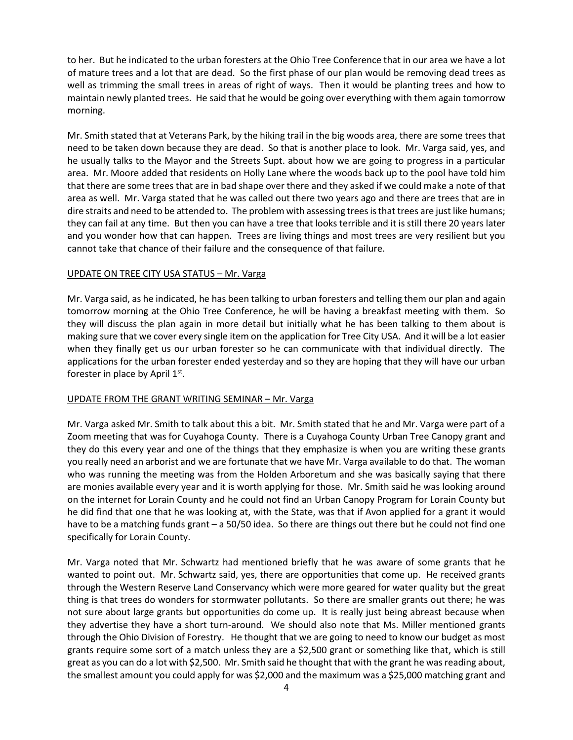to her. But he indicated to the urban foresters at the Ohio Tree Conference that in our area we have a lot of mature trees and a lot that are dead. So the first phase of our plan would be removing dead trees as well as trimming the small trees in areas of right of ways. Then it would be planting trees and how to maintain newly planted trees. He said that he would be going over everything with them again tomorrow morning.

Mr. Smith stated that at Veterans Park, by the hiking trail in the big woods area, there are some trees that need to be taken down because they are dead. So that is another place to look. Mr. Varga said, yes, and he usually talks to the Mayor and the Streets Supt. about how we are going to progress in a particular area. Mr. Moore added that residents on Holly Lane where the woods back up to the pool have told him that there are some trees that are in bad shape over there and they asked if we could make a note of that area as well. Mr. Varga stated that he was called out there two years ago and there are trees that are in dire straits and need to be attended to. The problem with assessing trees is that trees are just like humans; they can fail at any time. But then you can have a tree that looks terrible and it is still there 20 years later and you wonder how that can happen. Trees are living things and most trees are very resilient but you cannot take that chance of their failure and the consequence of that failure.

## UPDATE ON TREE CITY USA STATUS – Mr. Varga

Mr. Varga said, as he indicated, he has been talking to urban foresters and telling them our plan and again tomorrow morning at the Ohio Tree Conference, he will be having a breakfast meeting with them. So they will discuss the plan again in more detail but initially what he has been talking to them about is making sure that we cover every single item on the application for Tree City USA. And it will be a lot easier when they finally get us our urban forester so he can communicate with that individual directly. The applications for the urban forester ended yesterday and so they are hoping that they will have our urban forester in place by April  $1<sup>st</sup>$ .

## UPDATE FROM THE GRANT WRITING SEMINAR – Mr. Varga

Mr. Varga asked Mr. Smith to talk about this a bit. Mr. Smith stated that he and Mr. Varga were part of a Zoom meeting that was for Cuyahoga County. There is a Cuyahoga County Urban Tree Canopy grant and they do this every year and one of the things that they emphasize is when you are writing these grants you really need an arborist and we are fortunate that we have Mr. Varga available to do that. The woman who was running the meeting was from the Holden Arboretum and she was basically saying that there are monies available every year and it is worth applying for those. Mr. Smith said he was looking around on the internet for Lorain County and he could not find an Urban Canopy Program for Lorain County but he did find that one that he was looking at, with the State, was that if Avon applied for a grant it would have to be a matching funds grant – a 50/50 idea. So there are things out there but he could not find one specifically for Lorain County.

Mr. Varga noted that Mr. Schwartz had mentioned briefly that he was aware of some grants that he wanted to point out. Mr. Schwartz said, yes, there are opportunities that come up. He received grants through the Western Reserve Land Conservancy which were more geared for water quality but the great thing is that trees do wonders for stormwater pollutants. So there are smaller grants out there; he was not sure about large grants but opportunities do come up. It is really just being abreast because when they advertise they have a short turn-around. We should also note that Ms. Miller mentioned grants through the Ohio Division of Forestry. He thought that we are going to need to know our budget as most grants require some sort of a match unless they are a \$2,500 grant or something like that, which is still great as you can do a lot with \$2,500. Mr. Smith said he thought that with the grant he was reading about, the smallest amount you could apply for was \$2,000 and the maximum was a \$25,000 matching grant and